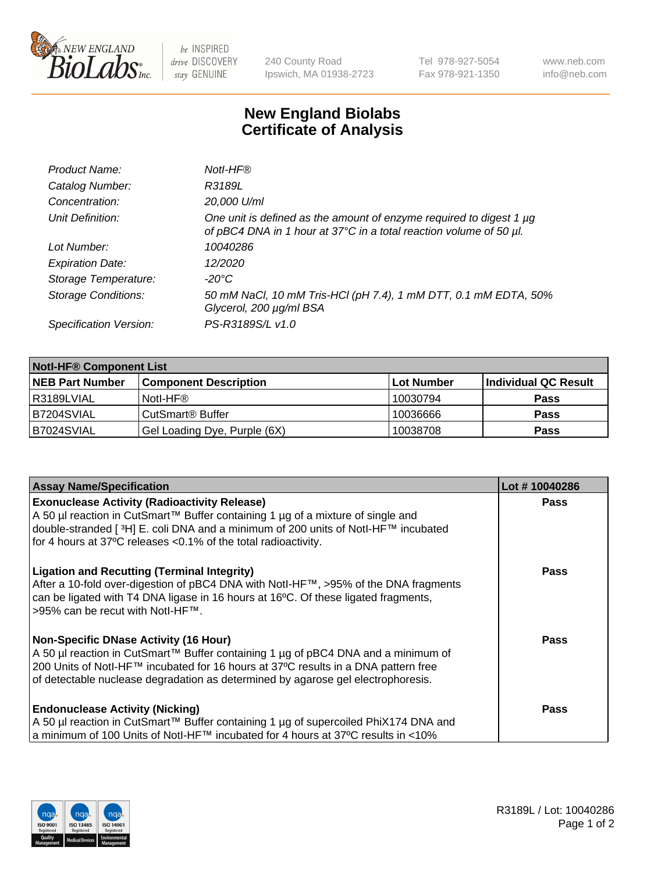

 $be$  INSPIRED drive DISCOVERY stay GENUINE

240 County Road Ipswich, MA 01938-2723 Tel 978-927-5054 Fax 978-921-1350 www.neb.com info@neb.com

## **New England Biolabs Certificate of Analysis**

| Product Name:              | Notl-HF®                                                                                                                                  |
|----------------------------|-------------------------------------------------------------------------------------------------------------------------------------------|
| Catalog Number:            | R3189L                                                                                                                                    |
| Concentration:             | 20,000 U/ml                                                                                                                               |
| Unit Definition:           | One unit is defined as the amount of enzyme required to digest 1 µg<br>of pBC4 DNA in 1 hour at 37°C in a total reaction volume of 50 µl. |
| Lot Number:                | 10040286                                                                                                                                  |
| <b>Expiration Date:</b>    | 12/2020                                                                                                                                   |
| Storage Temperature:       | $-20^{\circ}$ C                                                                                                                           |
| <b>Storage Conditions:</b> | 50 mM NaCl, 10 mM Tris-HCl (pH 7.4), 1 mM DTT, 0.1 mM EDTA, 50%<br>Glycerol, 200 µg/ml BSA                                                |
| Specification Version:     | PS-R3189S/L v1.0                                                                                                                          |

| <b>Notl-HF® Component List</b> |                                    |                   |                      |  |  |
|--------------------------------|------------------------------------|-------------------|----------------------|--|--|
| <b>NEB Part Number</b>         | <b>Component Description</b>       | <b>Lot Number</b> | Individual QC Result |  |  |
| I R3189LVIAL                   | Notl-HF®                           | 10030794          | <b>Pass</b>          |  |  |
| B7204SVIAL                     | <b>CutSmart<sup>®</sup> Buffer</b> | 10036666          | <b>Pass</b>          |  |  |
| B7024SVIAL                     | Gel Loading Dye, Purple (6X)       | 10038708          | <b>Pass</b>          |  |  |

| <b>Assay Name/Specification</b>                                                                                                                                                                                                                                      | Lot #10040286 |
|----------------------------------------------------------------------------------------------------------------------------------------------------------------------------------------------------------------------------------------------------------------------|---------------|
| <b>Exonuclease Activity (Radioactivity Release)</b>                                                                                                                                                                                                                  | <b>Pass</b>   |
| A 50 µl reaction in CutSmart™ Buffer containing 1 µg of a mixture of single and<br>double-stranded [ <sup>3</sup> H] E. coli DNA and a minimum of 200 units of Notl-HF™ incubated                                                                                    |               |
| for 4 hours at 37°C releases <0.1% of the total radioactivity.                                                                                                                                                                                                       |               |
| <b>Ligation and Recutting (Terminal Integrity)</b><br>After a 10-fold over-digestion of pBC4 DNA with Notl-HF™, >95% of the DNA fragments<br>can be ligated with T4 DNA ligase in 16 hours at 16°C. Of these ligated fragments,<br>1>95% can be recut with NotI-HF™. | <b>Pass</b>   |
| Non-Specific DNase Activity (16 Hour)                                                                                                                                                                                                                                | Pass          |
| A 50 µl reaction in CutSmart™ Buffer containing 1 µg of pBC4 DNA and a minimum of                                                                                                                                                                                    |               |
| 200 Units of Notl-HF™ incubated for 16 hours at 37°C results in a DNA pattern free<br>of detectable nuclease degradation as determined by agarose gel electrophoresis.                                                                                               |               |
|                                                                                                                                                                                                                                                                      |               |
| <b>Endonuclease Activity (Nicking)</b>                                                                                                                                                                                                                               | Pass          |
| A 50 µl reaction in CutSmart™ Buffer containing 1 µg of supercoiled PhiX174 DNA and                                                                                                                                                                                  |               |
| a minimum of 100 Units of Notl-HF™ incubated for 4 hours at 37°C results in <10%                                                                                                                                                                                     |               |